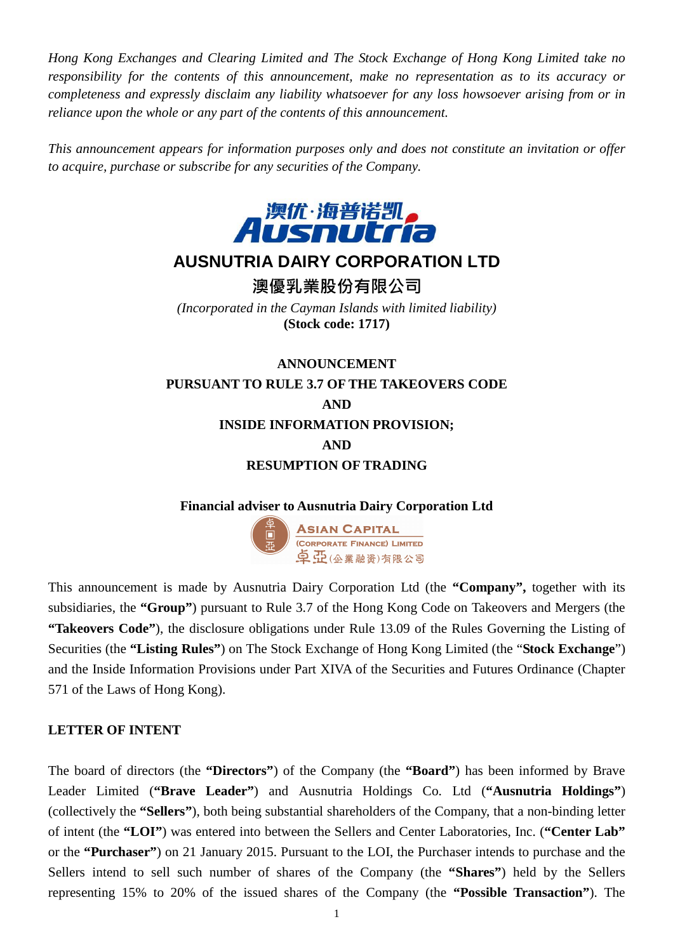*Hong Kong Exchanges and Clearing Limited and The Stock Exchange of Hong Kong Limited take no responsibility for the contents of this announcement, make no representation as to its accuracy or completeness and expressly disclaim any liability whatsoever for any loss howsoever arising from or in reliance upon the whole or any part of the contents of this announcement.* 

*This announcement appears for information purposes only and does not constitute an invitation or offer to acquire, purchase or subscribe for any securities of the Company.* 



# **AUSNUTRIA DAIRY CORPORATION LTD**

澳優乳業股份有限公司

*(Incorporated in the Cayman Islands with limited liability)*  **(Stock code: 1717)** 

# **ANNOUNCEMENT PURSUANT TO RULE 3.7 OF THE TAKEOVERS CODE AND INSIDE INFORMATION PROVISION; AND RESUMPTION OF TRADING**

# **Financial adviser to Ausnutria Dairy Corporation Ltd**



This announcement is made by Ausnutria Dairy Corporation Ltd (the **"Company",** together with its subsidiaries, the **"Group"**) pursuant to Rule 3.7 of the Hong Kong Code on Takeovers and Mergers (the **"Takeovers Code"**), the disclosure obligations under Rule 13.09 of the Rules Governing the Listing of Securities (the **"Listing Rules"**) on The Stock Exchange of Hong Kong Limited (the "**Stock Exchange**") and the Inside Information Provisions under Part XIVA of the Securities and Futures Ordinance (Chapter 571 of the Laws of Hong Kong).

# **LETTER OF INTENT**

The board of directors (the **"Directors"**) of the Company (the **"Board"**) has been informed by Brave Leader Limited (**"Brave Leader"**) and Ausnutria Holdings Co. Ltd (**"Ausnutria Holdings"**) (collectively the **"Sellers"**), both being substantial shareholders of the Company, that a non-binding letter of intent (the **"LOI"**) was entered into between the Sellers and Center Laboratories, Inc. (**"Center Lab"** or the **"Purchaser"**) on 21 January 2015. Pursuant to the LOI, the Purchaser intends to purchase and the Sellers intend to sell such number of shares of the Company (the **"Shares"**) held by the Sellers representing 15% to 20% of the issued shares of the Company (the **"Possible Transaction"**). The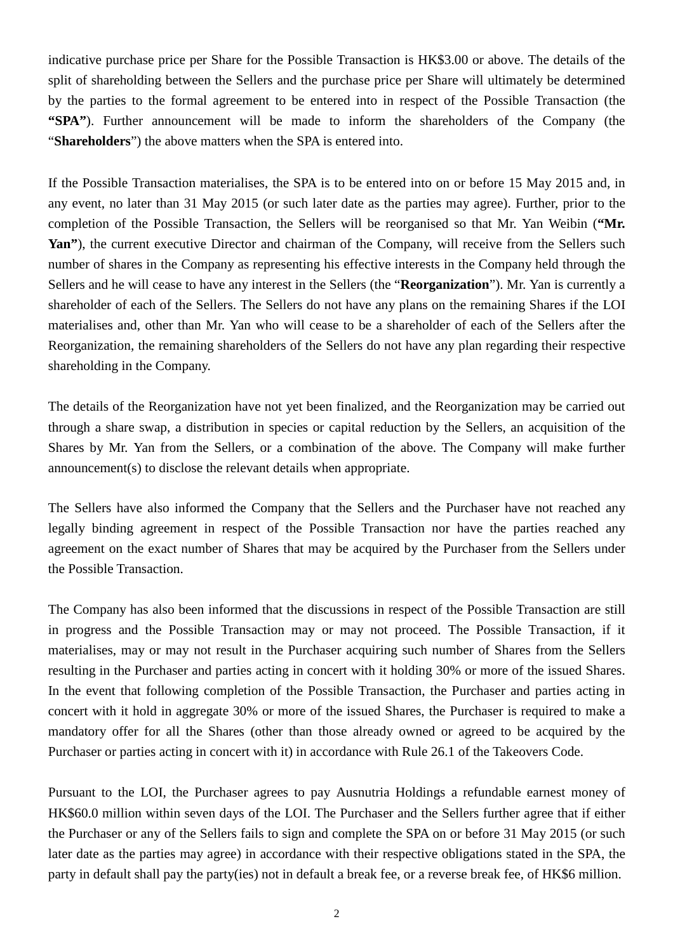indicative purchase price per Share for the Possible Transaction is HK\$3.00 or above. The details of the split of shareholding between the Sellers and the purchase price per Share will ultimately be determined by the parties to the formal agreement to be entered into in respect of the Possible Transaction (the **"SPA"**). Further announcement will be made to inform the shareholders of the Company (the "**Shareholders**") the above matters when the SPA is entered into.

If the Possible Transaction materialises, the SPA is to be entered into on or before 15 May 2015 and, in any event, no later than 31 May 2015 (or such later date as the parties may agree). Further, prior to the completion of the Possible Transaction, the Sellers will be reorganised so that Mr. Yan Weibin (**"Mr. Yan"**), the current executive Director and chairman of the Company, will receive from the Sellers such number of shares in the Company as representing his effective interests in the Company held through the Sellers and he will cease to have any interest in the Sellers (the "**Reorganization**"). Mr. Yan is currently a shareholder of each of the Sellers. The Sellers do not have any plans on the remaining Shares if the LOI materialises and, other than Mr. Yan who will cease to be a shareholder of each of the Sellers after the Reorganization, the remaining shareholders of the Sellers do not have any plan regarding their respective shareholding in the Company.

The details of the Reorganization have not yet been finalized, and the Reorganization may be carried out through a share swap, a distribution in species or capital reduction by the Sellers, an acquisition of the Shares by Mr. Yan from the Sellers, or a combination of the above. The Company will make further announcement(s) to disclose the relevant details when appropriate.

The Sellers have also informed the Company that the Sellers and the Purchaser have not reached any legally binding agreement in respect of the Possible Transaction nor have the parties reached any agreement on the exact number of Shares that may be acquired by the Purchaser from the Sellers under the Possible Transaction.

The Company has also been informed that the discussions in respect of the Possible Transaction are still in progress and the Possible Transaction may or may not proceed. The Possible Transaction, if it materialises, may or may not result in the Purchaser acquiring such number of Shares from the Sellers resulting in the Purchaser and parties acting in concert with it holding 30% or more of the issued Shares. In the event that following completion of the Possible Transaction, the Purchaser and parties acting in concert with it hold in aggregate 30% or more of the issued Shares, the Purchaser is required to make a mandatory offer for all the Shares (other than those already owned or agreed to be acquired by the Purchaser or parties acting in concert with it) in accordance with Rule 26.1 of the Takeovers Code.

Pursuant to the LOI, the Purchaser agrees to pay Ausnutria Holdings a refundable earnest money of HK\$60.0 million within seven days of the LOI. The Purchaser and the Sellers further agree that if either the Purchaser or any of the Sellers fails to sign and complete the SPA on or before 31 May 2015 (or such later date as the parties may agree) in accordance with their respective obligations stated in the SPA, the party in default shall pay the party(ies) not in default a break fee, or a reverse break fee, of HK\$6 million.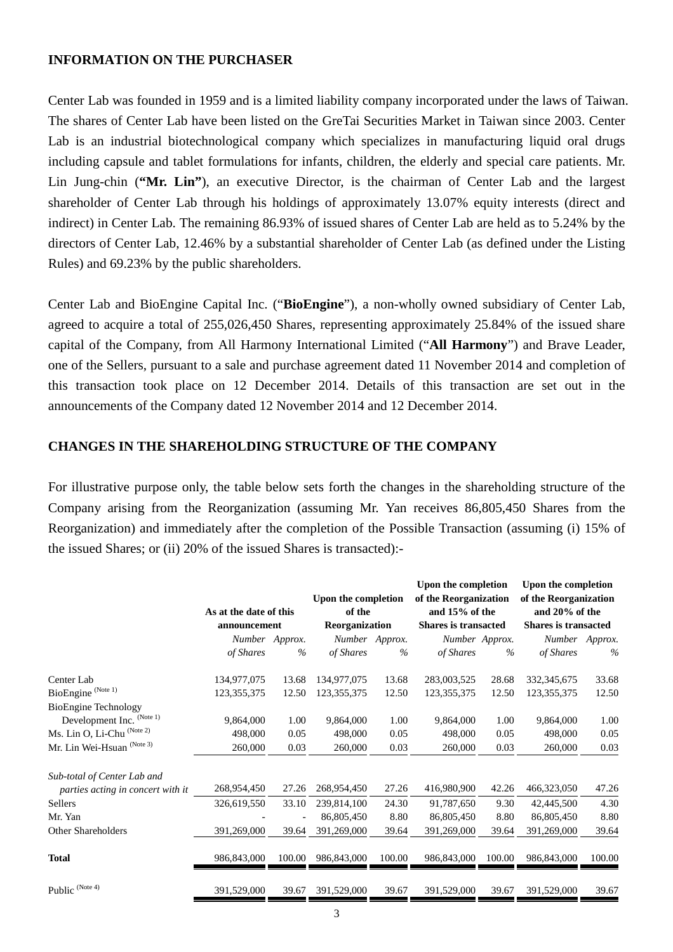#### **INFORMATION ON THE PURCHASER**

Center Lab was founded in 1959 and is a limited liability company incorporated under the laws of Taiwan. The shares of Center Lab have been listed on the GreTai Securities Market in Taiwan since 2003. Center Lab is an industrial biotechnological company which specializes in manufacturing liquid oral drugs including capsule and tablet formulations for infants, children, the elderly and special care patients. Mr. Lin Jung-chin (**"Mr. Lin"**), an executive Director, is the chairman of Center Lab and the largest shareholder of Center Lab through his holdings of approximately 13.07% equity interests (direct and indirect) in Center Lab. The remaining 86.93% of issued shares of Center Lab are held as to 5.24% by the directors of Center Lab, 12.46% by a substantial shareholder of Center Lab (as defined under the Listing Rules) and 69.23% by the public shareholders.

Center Lab and BioEngine Capital Inc. ("**BioEngine**"), a non-wholly owned subsidiary of Center Lab, agreed to acquire a total of 255,026,450 Shares, representing approximately 25.84% of the issued share capital of the Company, from All Harmony International Limited ("**All Harmony**") and Brave Leader, one of the Sellers, pursuant to a sale and purchase agreement dated 11 November 2014 and completion of this transaction took place on 12 December 2014. Details of this transaction are set out in the announcements of the Company dated 12 November 2014 and 12 December 2014.

#### **CHANGES IN THE SHAREHOLDING STRUCTURE OF THE COMPANY**

For illustrative purpose only, the table below sets forth the changes in the shareholding structure of the Company arising from the Reorganization (assuming Mr. Yan receives 86,805,450 Shares from the Reorganization) and immediately after the completion of the Possible Transaction (assuming (i) 15% of the issued Shares; or (ii) 20% of the issued Shares is transacted):-

|                                   |                                        |                | Upon the completion<br>of the<br>Reorganization |                | Upon the completion<br>of the Reorganization<br>and 15% of the<br><b>Shares is transacted</b> |                | Upon the completion<br>of the Reorganization<br>and 20% of the<br><b>Shares is transacted</b> |                |
|-----------------------------------|----------------------------------------|----------------|-------------------------------------------------|----------------|-----------------------------------------------------------------------------------------------|----------------|-----------------------------------------------------------------------------------------------|----------------|
|                                   | As at the date of this<br>announcement |                |                                                 |                |                                                                                               |                |                                                                                               |                |
|                                   |                                        |                |                                                 |                |                                                                                               |                |                                                                                               |                |
|                                   |                                        | Number Approx. |                                                 | Number Approx. |                                                                                               | Number Approx. |                                                                                               | Number Approx. |
|                                   | of Shares                              | $\%$           | of Shares                                       | $\%$           | of Shares                                                                                     | $\%$           | of Shares                                                                                     | $\%$           |
| Center Lab                        | 134,977,075                            | 13.68          | 134,977,075                                     | 13.68          | 283,003,525                                                                                   | 28.68          | 332, 345, 675                                                                                 | 33.68          |
| BioEngine <sup>(Note 1)</sup>     | 123,355,375                            | 12.50          | 123,355,375                                     | 12.50          | 123,355,375                                                                                   | 12.50          | 123,355,375                                                                                   | 12.50          |
| <b>BioEngine Technology</b>       |                                        |                |                                                 |                |                                                                                               |                |                                                                                               |                |
| Development Inc. (Note 1)         | 9,864,000                              | 1.00           | 9,864,000                                       | 1.00           | 9,864,000                                                                                     | 1.00           | 9,864,000                                                                                     | 1.00           |
| Ms. Lin O, Li-Chu (Note 2)        | 498,000                                | 0.05           | 498,000                                         | 0.05           | 498,000                                                                                       | 0.05           | 498,000                                                                                       | 0.05           |
| Mr. Lin Wei-Hsuan (Note 3)        | 260,000                                | 0.03           | 260,000                                         | 0.03           | 260,000                                                                                       | 0.03           | 260,000                                                                                       | 0.03           |
| Sub-total of Center Lab and       |                                        |                |                                                 |                |                                                                                               |                |                                                                                               |                |
| parties acting in concert with it | 268,954,450                            | 27.26          | 268,954,450                                     | 27.26          | 416,980,900                                                                                   | 42.26          | 466,323,050                                                                                   | 47.26          |
| Sellers                           | 326,619,550                            | 33.10          | 239,814,100                                     | 24.30          | 91,787,650                                                                                    | 9.30           | 42,445,500                                                                                    | 4.30           |
| Mr. Yan                           |                                        |                | 86,805,450                                      | 8.80           | 86,805,450                                                                                    | 8.80           | 86,805,450                                                                                    | 8.80           |
| <b>Other Shareholders</b>         | 391,269,000                            | 39.64          | 391,269,000                                     | 39.64          | 391,269,000                                                                                   | 39.64          | 391,269,000                                                                                   | 39.64          |
| Total                             | 986,843,000                            | 100.00         | 986,843,000                                     | 100.00         | 986,843,000                                                                                   | 100.00         | 986,843,000                                                                                   | 100.00         |
| Public (Note 4)                   | 391,529,000                            | 39.67          | 391,529,000                                     | 39.67          | 391,529,000                                                                                   | 39.67          | 391,529,000                                                                                   | 39.67          |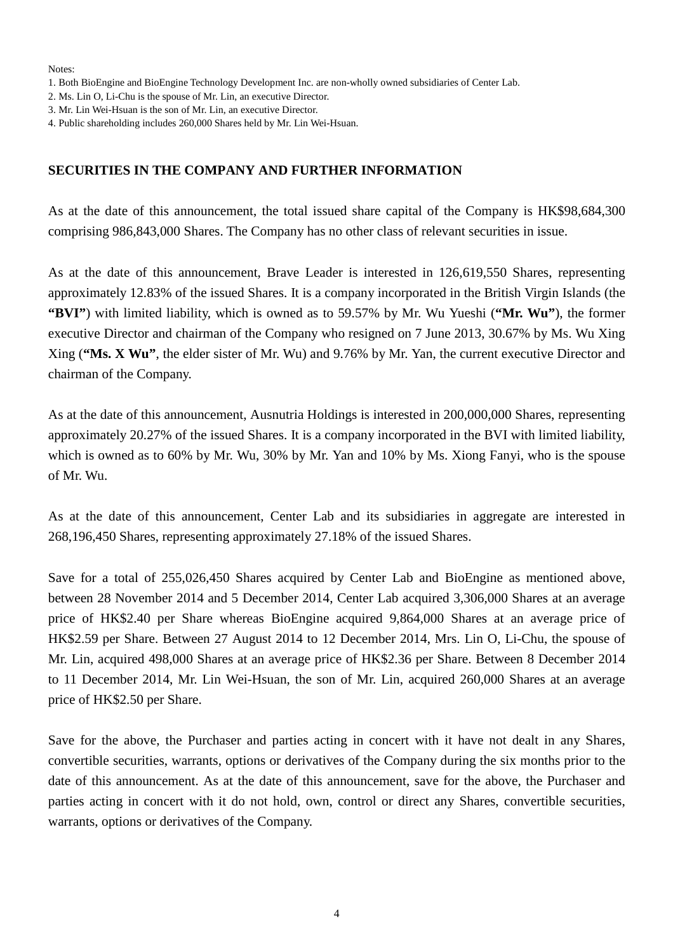Notes:

- 1. Both BioEngine and BioEngine Technology Development Inc. are non-wholly owned subsidiaries of Center Lab.
- 2. Ms. Lin O, Li-Chu is the spouse of Mr. Lin, an executive Director.
- 3. Mr. Lin Wei-Hsuan is the son of Mr. Lin, an executive Director.
- 4. Public shareholding includes 260,000 Shares held by Mr. Lin Wei-Hsuan.

#### **SECURITIES IN THE COMPANY AND FURTHER INFORMATION**

As at the date of this announcement, the total issued share capital of the Company is HK\$98,684,300 comprising 986,843,000 Shares. The Company has no other class of relevant securities in issue.

As at the date of this announcement, Brave Leader is interested in 126,619,550 Shares, representing approximately 12.83% of the issued Shares. It is a company incorporated in the British Virgin Islands (the **"BVI"**) with limited liability, which is owned as to 59.57% by Mr. Wu Yueshi (**"Mr. Wu"**), the former executive Director and chairman of the Company who resigned on 7 June 2013, 30.67% by Ms. Wu Xing Xing (**"Ms. X Wu"**, the elder sister of Mr. Wu) and 9.76% by Mr. Yan, the current executive Director and chairman of the Company.

As at the date of this announcement, Ausnutria Holdings is interested in 200,000,000 Shares, representing approximately 20.27% of the issued Shares. It is a company incorporated in the BVI with limited liability, which is owned as to 60% by Mr. Wu, 30% by Mr. Yan and 10% by Ms. Xiong Fanyi, who is the spouse of Mr. Wu.

As at the date of this announcement, Center Lab and its subsidiaries in aggregate are interested in 268,196,450 Shares, representing approximately 27.18% of the issued Shares.

Save for a total of 255,026,450 Shares acquired by Center Lab and BioEngine as mentioned above, between 28 November 2014 and 5 December 2014, Center Lab acquired 3,306,000 Shares at an average price of HK\$2.40 per Share whereas BioEngine acquired 9,864,000 Shares at an average price of HK\$2.59 per Share. Between 27 August 2014 to 12 December 2014, Mrs. Lin O, Li-Chu, the spouse of Mr. Lin, acquired 498,000 Shares at an average price of HK\$2.36 per Share. Between 8 December 2014 to 11 December 2014, Mr. Lin Wei-Hsuan, the son of Mr. Lin, acquired 260,000 Shares at an average price of HK\$2.50 per Share.

Save for the above, the Purchaser and parties acting in concert with it have not dealt in any Shares, convertible securities, warrants, options or derivatives of the Company during the six months prior to the date of this announcement. As at the date of this announcement, save for the above, the Purchaser and parties acting in concert with it do not hold, own, control or direct any Shares, convertible securities, warrants, options or derivatives of the Company.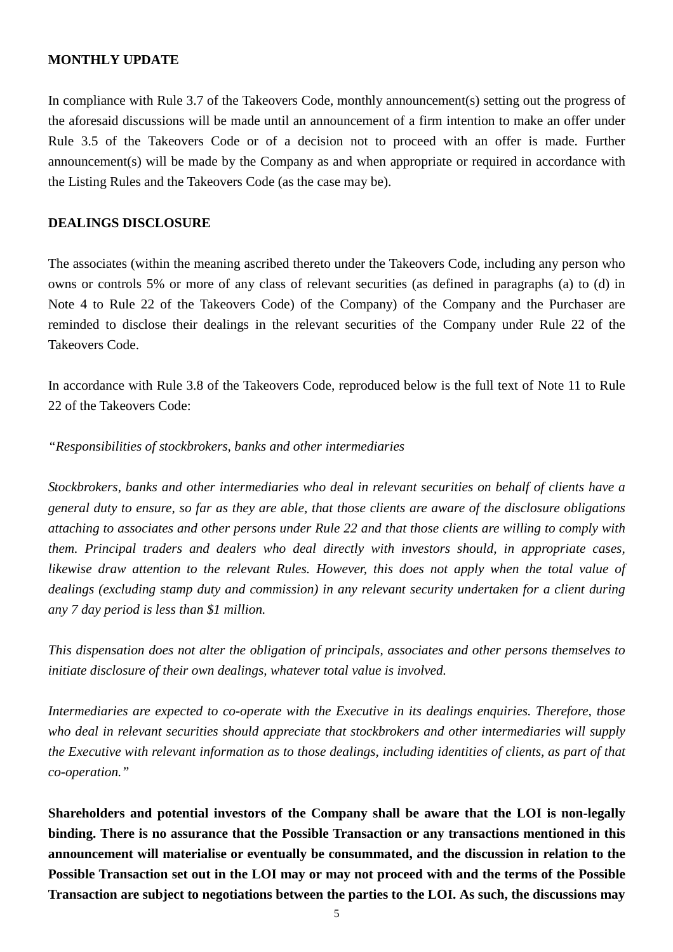#### **MONTHLY UPDATE**

In compliance with Rule 3.7 of the Takeovers Code, monthly announcement(s) setting out the progress of the aforesaid discussions will be made until an announcement of a firm intention to make an offer under Rule 3.5 of the Takeovers Code or of a decision not to proceed with an offer is made. Further announcement(s) will be made by the Company as and when appropriate or required in accordance with the Listing Rules and the Takeovers Code (as the case may be).

#### **DEALINGS DISCLOSURE**

The associates (within the meaning ascribed thereto under the Takeovers Code, including any person who owns or controls 5% or more of any class of relevant securities (as defined in paragraphs (a) to (d) in Note 4 to Rule 22 of the Takeovers Code) of the Company) of the Company and the Purchaser are reminded to disclose their dealings in the relevant securities of the Company under Rule 22 of the Takeovers Code.

In accordance with Rule 3.8 of the Takeovers Code, reproduced below is the full text of Note 11 to Rule 22 of the Takeovers Code:

#### *"Responsibilities of stockbrokers, banks and other intermediaries*

*Stockbrokers, banks and other intermediaries who deal in relevant securities on behalf of clients have a general duty to ensure, so far as they are able, that those clients are aware of the disclosure obligations attaching to associates and other persons under Rule 22 and that those clients are willing to comply with them. Principal traders and dealers who deal directly with investors should, in appropriate cases, likewise draw attention to the relevant Rules. However, this does not apply when the total value of dealings (excluding stamp duty and commission) in any relevant security undertaken for a client during any 7 day period is less than \$1 million.* 

*This dispensation does not alter the obligation of principals, associates and other persons themselves to initiate disclosure of their own dealings, whatever total value is involved.* 

*Intermediaries are expected to co-operate with the Executive in its dealings enquiries. Therefore, those who deal in relevant securities should appreciate that stockbrokers and other intermediaries will supply the Executive with relevant information as to those dealings, including identities of clients, as part of that co-operation."* 

**Shareholders and potential investors of the Company shall be aware that the LOI is non-legally binding. There is no assurance that the Possible Transaction or any transactions mentioned in this announcement will materialise or eventually be consummated, and the discussion in relation to the Possible Transaction set out in the LOI may or may not proceed with and the terms of the Possible Transaction are subject to negotiations between the parties to the LOI. As such, the discussions may**